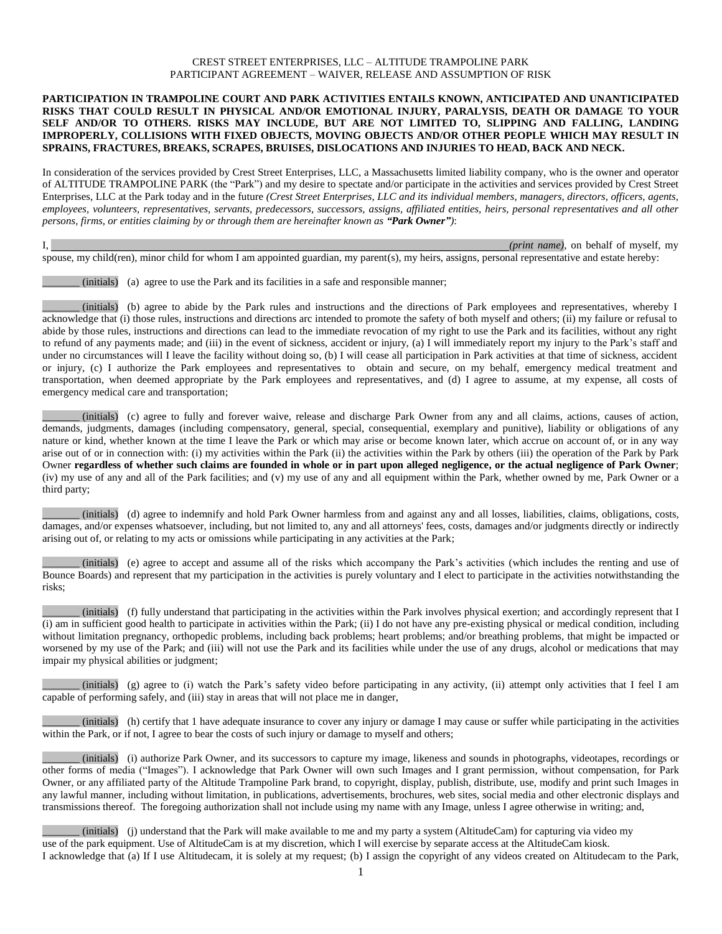#### CREST STREET ENTERPRISES, LLC – ALTITUDE TRAMPOLINE PARK PARTICIPANT AGREEMENT – WAIVER, RELEASE AND ASSUMPTION OF RISK

#### **PARTICIPATION IN TRAMPOLINE COURT AND PARK ACTIVITIES ENTAILS KNOWN, ANTICIPATED AND UNANTICIPATED RISKS THAT COULD RESULT IN PHYSICAL AND/OR EMOTIONAL INJURY, PARALYSIS, DEATH OR DAMAGE TO YOUR SELF AND/OR TO OTHERS. RISKS MAY INCLUDE, BUT ARE NOT LIMITED TO, SLIPPING AND FALLING, LANDING IMPROPERLY, COLLISIONS WITH FIXED OBJECTS, MOVING OBJECTS AND/OR OTHER PEOPLE WHICH MAY RESULT IN SPRAINS, FRACTURES, BREAKS, SCRAPES, BRUISES, DISLOCATIONS AND INJURIES TO HEAD, BACK AND NECK.**

In consideration of the services provided by Crest Street Enterprises, LLC, a Massachusetts limited liability company, who is the owner and operator of ALTITUDE TRAMPOLINE PARK (the "Park") and my desire to spectate and/or participate in the activities and services provided by Crest Street Enterprises, LLC at the Park today and in the future *(Crest Street Enterprises, LLC and its individual members, managers, directors, officers, agents, employees, volunteers, representatives, servants, predecessors, successors, assigns, affiliated entities, heirs, personal representatives and all other persons, firms, or entities claiming by or through them are hereinafter known as "Park Owner")*:

I, *(print name)*, on behalf of myself, my spouse, my child(ren), minor child for whom I am appointed guardian, my parent(s), my heirs, assigns, personal representative and estate hereby:

\_\_\_\_\_\_\_ (initials) (a) agree to use the Park and its facilities in a safe and responsible manner;

\_\_\_\_\_\_\_ (initials) (b) agree to abide by the Park rules and instructions and the directions of Park employees and representatives, whereby I acknowledge that (i) those rules, instructions and directions arc intended to promote the safety of both myself and others; (ii) my failure or refusal to abide by those rules, instructions and directions can lead to the immediate revocation of my right to use the Park and its facilities, without any right to refund of any payments made; and (iii) in the event of sickness, accident or injury, (a) I will immediately report my injury to the Park's staff and under no circumstances will I leave the facility without doing so, (b) I will cease all participation in Park activities at that time of sickness, accident or injury, (c) I authorize the Park employees and representatives to obtain and secure, on my behalf, emergency medical treatment and transportation, when deemed appropriate by the Park employees and representatives, and (d) I agree to assume, at my expense, all costs of emergency medical care and transportation;

\_\_\_\_\_\_\_ (initials) (c) agree to fully and forever waive, release and discharge Park Owner from any and all claims, actions, causes of action, demands, judgments, damages (including compensatory, general, special, consequential, exemplary and punitive), liability or obligations of any nature or kind, whether known at the time I leave the Park or which may arise or become known later, which accrue on account of, or in any way arise out of or in connection with: (i) my activities within the Park (ii) the activities within the Park by others (iii) the operation of the Park by Park Owner **regardless of whether such claims are founded in whole or in part upon alleged negligence, or the actual negligence of Park Owner**; (iv) my use of any and all of the Park facilities; and (v) my use of any and all equipment within the Park, whether owned by me, Park Owner or a third party;

\_\_\_\_\_\_\_ (initials) (d) agree to indemnify and hold Park Owner harmless from and against any and all losses, liabilities, claims, obligations, costs, damages, and/or expenses whatsoever, including, but not limited to, any and all attorneys' fees, costs, damages and/or judgments directly or indirectly arising out of, or relating to my acts or omissions while participating in any activities at the Park;

\_\_\_\_\_\_\_ (initials) (e) agree to accept and assume all of the risks which accompany the Park's activities (which includes the renting and use of Bounce Boards) and represent that my participation in the activities is purely voluntary and I elect to participate in the activities notwithstanding the risks;

\_\_\_\_\_\_\_ (initials) (f) fully understand that participating in the activities within the Park involves physical exertion; and accordingly represent that I (i) am in sufficient good health to participate in activities within the Park; (ii) I do not have any pre-existing physical or medical condition, including without limitation pregnancy, orthopedic problems, including back problems; heart problems; and/or breathing problems, that might be impacted or worsened by my use of the Park; and (iii) will not use the Park and its facilities while under the use of any drugs, alcohol or medications that may impair my physical abilities or judgment;

 $(i$ nitials) (g) agree to (i) watch the Park's safety video before participating in any activity, (ii) attempt only activities that I feel I am capable of performing safely, and (iii) stay in areas that will not place me in danger,

\_\_\_\_\_\_\_ (initials) (h) certify that 1 have adequate insurance to cover any injury or damage I may cause or suffer while participating in the activities within the Park, or if not, I agree to bear the costs of such injury or damage to myself and others;

\_\_\_\_\_\_\_ (initials) (i) authorize Park Owner, and its successors to capture my image, likeness and sounds in photographs, videotapes, recordings or other forms of media ("Images"). I acknowledge that Park Owner will own such Images and I grant permission, without compensation, for Park Owner, or any affiliated party of the Altitude Trampoline Park brand, to copyright, display, publish, distribute, use, modify and print such Images in any lawful manner, including without limitation, in publications, advertisements, brochures, web sites, social media and other electronic displays and transmissions thereof. The foregoing authorization shall not include using my name with any Image, unless I agree otherwise in writing; and,

\_\_\_\_\_\_\_ (initials) (j) understand that the Park will make available to me and my party a system (AltitudeCam) for capturing via video my use of the park equipment. Use of AltitudeCam is at my discretion, which I will exercise by separate access at the AltitudeCam kiosk. I acknowledge that (a) If I use Altitudecam, it is solely at my request; (b) I assign the copyright of any videos created on Altitudecam to the Park,